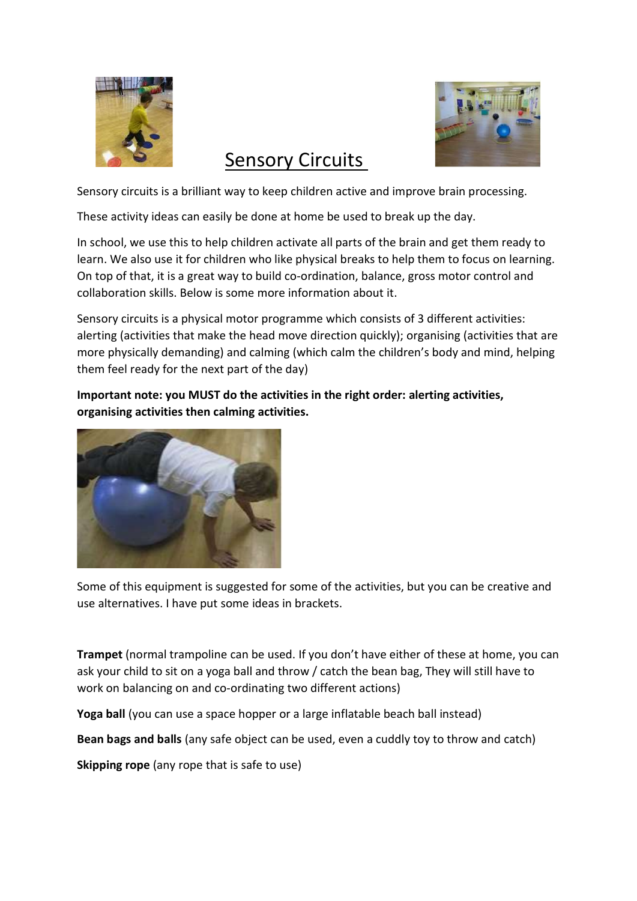



# Sensory Circuits

Sensory circuits is a brilliant way to keep children active and improve brain processing.

These activity ideas can easily be done at home be used to break up the day.

In school, we use this to help children activate all parts of the brain and get them ready to learn. We also use it for children who like physical breaks to help them to focus on learning. On top of that, it is a great way to build co-ordination, balance, gross motor control and collaboration skills. Below is some more information about it.

Sensory circuits is a physical motor programme which consists of 3 different activities: alerting (activities that make the head move direction quickly); organising (activities that are more physically demanding) and calming (which calm the children's body and mind, helping them feel ready for the next part of the day)

Important note: you MUST do the activities in the right order: alerting activities, organising activities then calming activities.



Some of this equipment is suggested for some of the activities, but you can be creative and use alternatives. I have put some ideas in brackets.

Trampet (normal trampoline can be used. If you don't have either of these at home, you can ask your child to sit on a yoga ball and throw / catch the bean bag, They will still have to work on balancing on and co-ordinating two different actions)

Yoga ball (you can use a space hopper or a large inflatable beach ball instead)

Bean bags and balls (any safe object can be used, even a cuddly toy to throw and catch)

Skipping rope (any rope that is safe to use)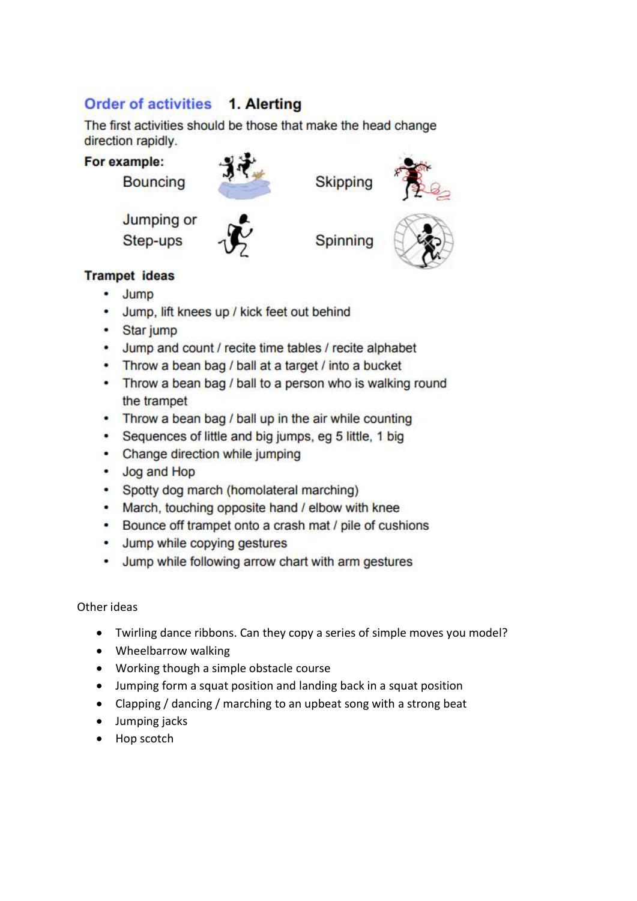### Order of activities 1. Alerting

The first activities should be those that make the head change direction rapidly.



### **Trampet ideas**

- Jump
- Jump, lift knees up / kick feet out behind
- · Star jump
- Jump and count / recite time tables / recite alphabet
- Throw a bean bag / ball at a target / into a bucket
- Throw a bean bag / ball to a person who is walking round the trampet
- Throw a bean bag / ball up in the air while counting
- Sequences of little and big jumps, eg 5 little, 1 big
- Change direction while jumping
- Jog and Hop
- Spotty dog march (homolateral marching)
- March, touching opposite hand / elbow with knee
- Bounce off trampet onto a crash mat / pile of cushions
- Jump while copying gestures
- Jump while following arrow chart with arm gestures

#### Other ideas

- Twirling dance ribbons. Can they copy a series of simple moves you model?
- Wheelbarrow walking
- Working though a simple obstacle course
- Jumping form a squat position and landing back in a squat position
- Clapping / dancing / marching to an upbeat song with a strong beat
- Jumping jacks
- Hop scotch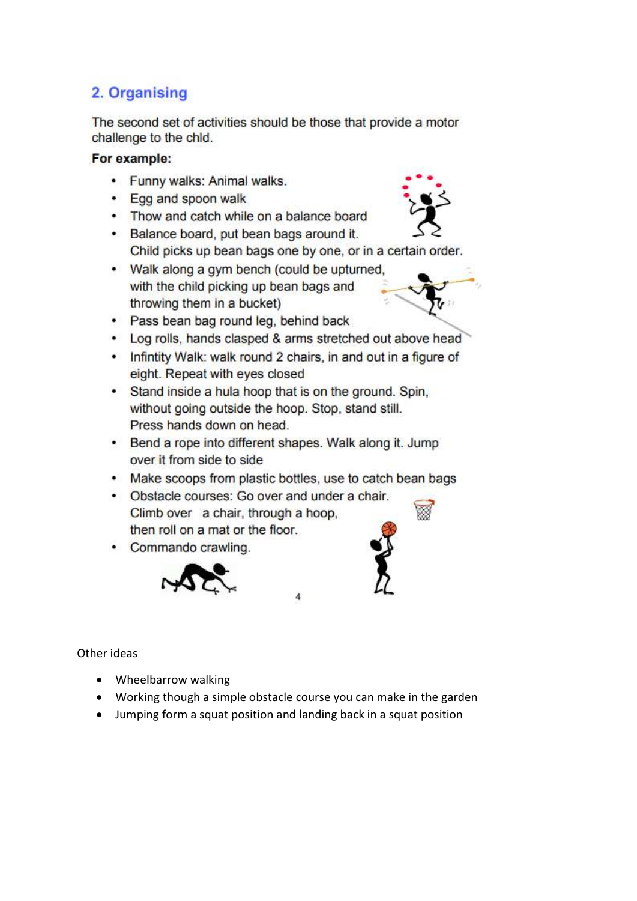## 2. Organising

The second set of activities should be those that provide a motor challenge to the chld.

#### For example:

- Funny walks: Animal walks.
- Egg and spoon walk
- Thow and catch while on a balance board
- Balance board, put bean bags around it. Child picks up bean bags one by one, or in a certain order.
- Walk along a gym bench (could be upturned, with the child picking up bean bags and throwing them in a bucket)



- Pass bean bag round leg, behind back
- Log rolls, hands clasped & arms stretched out above head
- . Infintity Walk: walk round 2 chairs, in and out in a figure of eight. Repeat with eyes closed
- Stand inside a hula hoop that is on the ground. Spin, without going outside the hoop. Stop, stand still. Press hands down on head.
- Bend a rope into different shapes. Walk along it. Jump over it from side to side
- Make scoops from plastic bottles, use to catch bean bags
- Obstacle courses: Go over and under a chair. Climb over a chair, through a hoop, then roll on a mat or the floor.
- Commando crawling.



#### Other ideas

- Wheelbarrow walking
- Working though a simple obstacle course you can make in the garden
- Jumping form a squat position and landing back in a squat position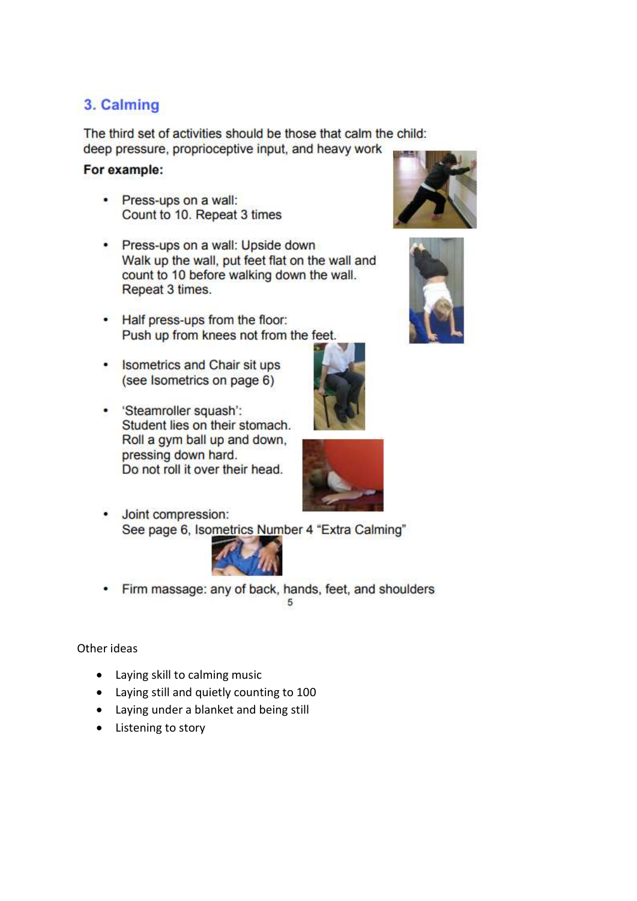### 3. Calming

The third set of activities should be those that calm the child: deep pressure, proprioceptive input, and heavy work

#### For example:

- Press-ups on a wall: Count to 10. Repeat 3 times
- Press-ups on a wall: Upside down Walk up the wall, put feet flat on the wall and count to 10 before walking down the wall. Repeat 3 times.
- Half press-ups from the floor: Push up from knees not from the feet.
- Isometrics and Chair sit ups (see Isometrics on page 6)
- 'Steamroller squash': Student lies on their stomach. Roll a gym ball up and down, pressing down hard. Do not roll it over their head.



• Joint compression: See page 6, Isometrics Number 4 "Extra Calming"



• Firm massage: any of back, hands, feet, and shoulders 5

#### Other ideas

- Laying skill to calming music
- Laying still and quietly counting to 100
- Laying under a blanket and being still
- Listening to story



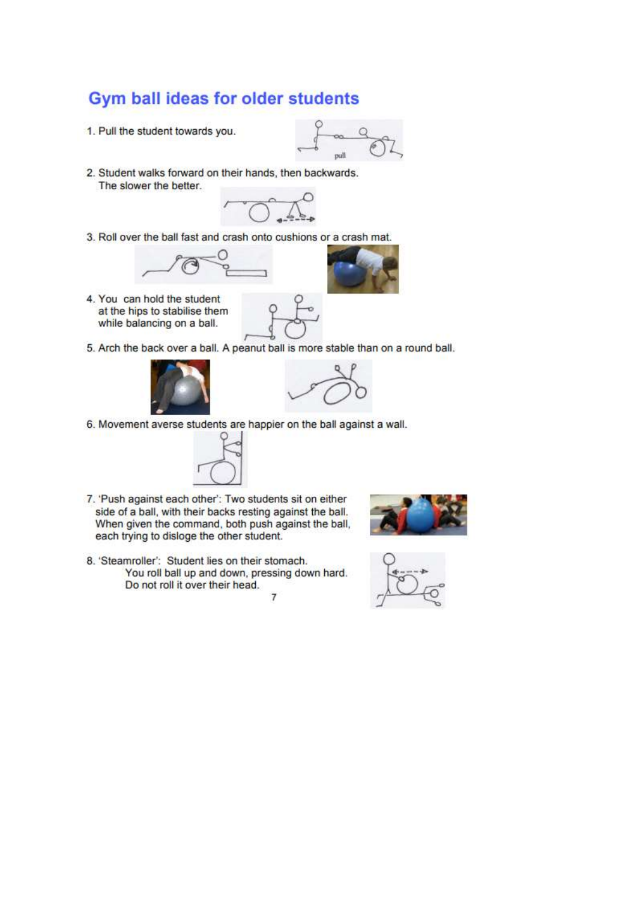### Gym ball ideas for older students

1. Pull the student towards you.



2. Student walks forward on their hands, then backwards. The slower the better.



3. Roll over the ball fast and crash onto cushions or a crash mat.



4. You can hold the student at the hips to stabilise them while balancing on a ball.







6. Movement averse students are happier on the ball against a wall.



- 7. 'Push against each other': Two students sit on either side of a ball, with their backs resting against the ball. When given the command, both push against the ball, each trying to disloge the other student.
- 8. 'Steamroller': Student lies on their stomach. You roll ball up and down, pressing down hard. Do not roll it over their head.